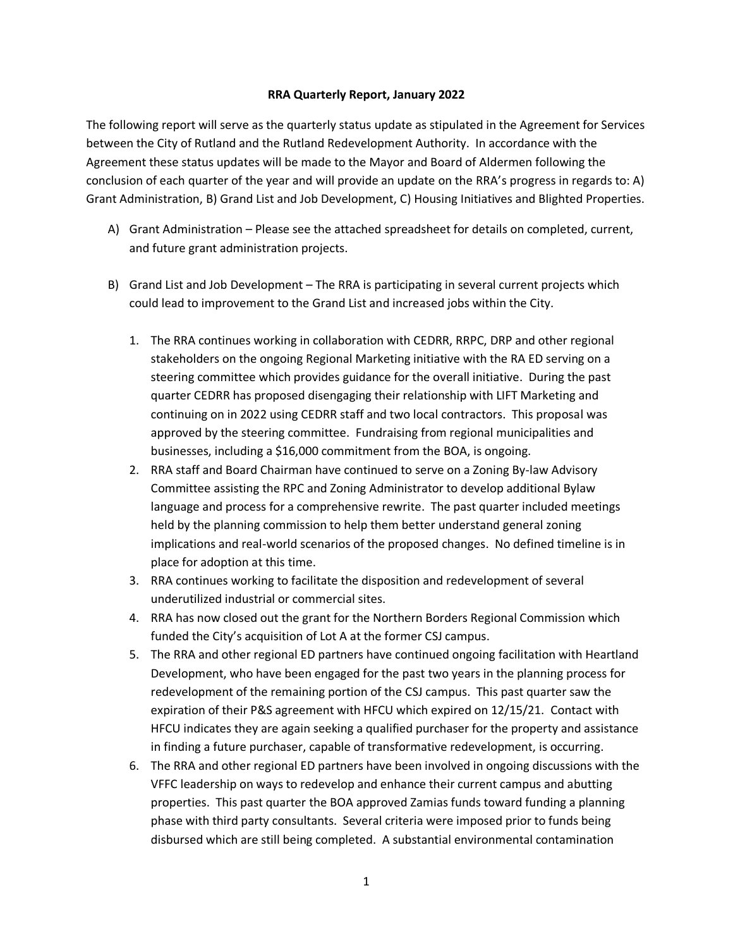## **RRA Quarterly Report, January 2022**

The following report will serve as the quarterly status update as stipulated in the Agreement for Services between the City of Rutland and the Rutland Redevelopment Authority. In accordance with the Agreement these status updates will be made to the Mayor and Board of Aldermen following the conclusion of each quarter of the year and will provide an update on the RRA's progress in regards to: A) Grant Administration, B) Grand List and Job Development, C) Housing Initiatives and Blighted Properties.

- A) Grant Administration Please see the attached spreadsheet for details on completed, current, and future grant administration projects.
- B) Grand List and Job Development The RRA is participating in several current projects which could lead to improvement to the Grand List and increased jobs within the City.
	- 1. The RRA continues working in collaboration with CEDRR, RRPC, DRP and other regional stakeholders on the ongoing Regional Marketing initiative with the RA ED serving on a steering committee which provides guidance for the overall initiative. During the past quarter CEDRR has proposed disengaging their relationship with LIFT Marketing and continuing on in 2022 using CEDRR staff and two local contractors. This proposal was approved by the steering committee. Fundraising from regional municipalities and businesses, including a \$16,000 commitment from the BOA, is ongoing.
	- 2. RRA staff and Board Chairman have continued to serve on a Zoning By-law Advisory Committee assisting the RPC and Zoning Administrator to develop additional Bylaw language and process for a comprehensive rewrite. The past quarter included meetings held by the planning commission to help them better understand general zoning implications and real-world scenarios of the proposed changes. No defined timeline is in place for adoption at this time.
	- 3. RRA continues working to facilitate the disposition and redevelopment of several underutilized industrial or commercial sites.
	- 4. RRA has now closed out the grant for the Northern Borders Regional Commission which funded the City's acquisition of Lot A at the former CSJ campus.
	- 5. The RRA and other regional ED partners have continued ongoing facilitation with Heartland Development, who have been engaged for the past two years in the planning process for redevelopment of the remaining portion of the CSJ campus. This past quarter saw the expiration of their P&S agreement with HFCU which expired on 12/15/21. Contact with HFCU indicates they are again seeking a qualified purchaser for the property and assistance in finding a future purchaser, capable of transformative redevelopment, is occurring.
	- 6. The RRA and other regional ED partners have been involved in ongoing discussions with the VFFC leadership on ways to redevelop and enhance their current campus and abutting properties. This past quarter the BOA approved Zamias funds toward funding a planning phase with third party consultants. Several criteria were imposed prior to funds being disbursed which are still being completed. A substantial environmental contamination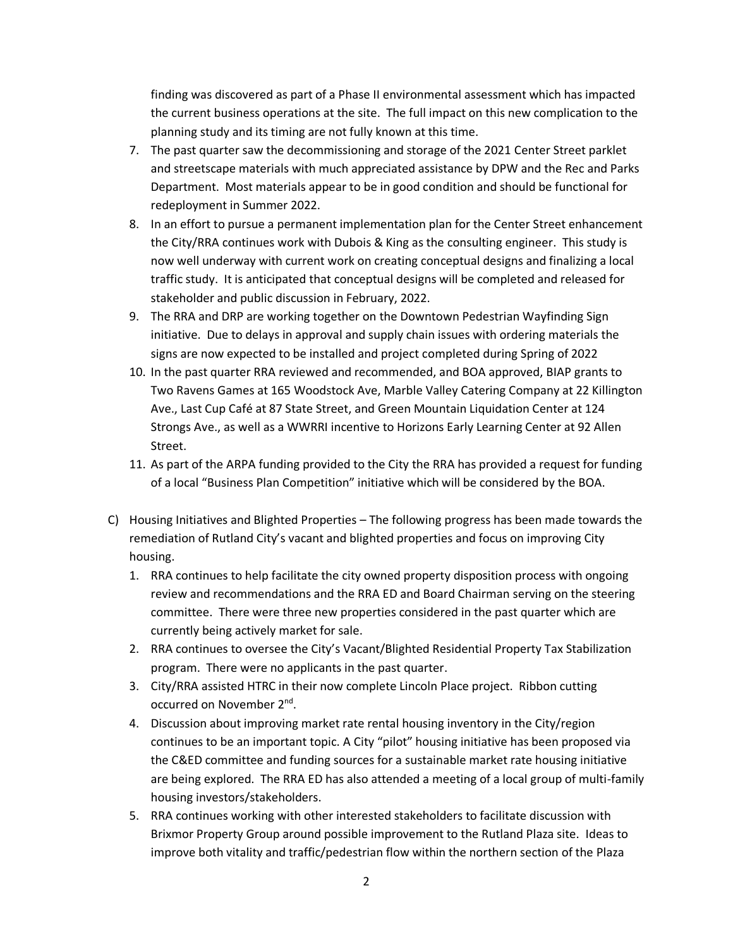finding was discovered as part of a Phase II environmental assessment which has impacted the current business operations at the site. The full impact on this new complication to the planning study and its timing are not fully known at this time.

- 7. The past quarter saw the decommissioning and storage of the 2021 Center Street parklet and streetscape materials with much appreciated assistance by DPW and the Rec and Parks Department. Most materials appear to be in good condition and should be functional for redeployment in Summer 2022.
- 8. In an effort to pursue a permanent implementation plan for the Center Street enhancement the City/RRA continues work with Dubois & King as the consulting engineer. This study is now well underway with current work on creating conceptual designs and finalizing a local traffic study. It is anticipated that conceptual designs will be completed and released for stakeholder and public discussion in February, 2022.
- 9. The RRA and DRP are working together on the Downtown Pedestrian Wayfinding Sign initiative. Due to delays in approval and supply chain issues with ordering materials the signs are now expected to be installed and project completed during Spring of 2022
- 10. In the past quarter RRA reviewed and recommended, and BOA approved, BIAP grants to Two Ravens Games at 165 Woodstock Ave, Marble Valley Catering Company at 22 Killington Ave., Last Cup Café at 87 State Street, and Green Mountain Liquidation Center at 124 Strongs Ave., as well as a WWRRI incentive to Horizons Early Learning Center at 92 Allen Street.
- 11. As part of the ARPA funding provided to the City the RRA has provided a request for funding of a local "Business Plan Competition" initiative which will be considered by the BOA.
- C) Housing Initiatives and Blighted Properties The following progress has been made towards the remediation of Rutland City's vacant and blighted properties and focus on improving City housing.
	- 1. RRA continues to help facilitate the city owned property disposition process with ongoing review and recommendations and the RRA ED and Board Chairman serving on the steering committee. There were three new properties considered in the past quarter which are currently being actively market for sale.
	- 2. RRA continues to oversee the City's Vacant/Blighted Residential Property Tax Stabilization program. There were no applicants in the past quarter.
	- 3. City/RRA assisted HTRC in their now complete Lincoln Place project. Ribbon cutting occurred on November 2<sup>nd</sup>.
	- 4. Discussion about improving market rate rental housing inventory in the City/region continues to be an important topic. A City "pilot" housing initiative has been proposed via the C&ED committee and funding sources for a sustainable market rate housing initiative are being explored. The RRA ED has also attended a meeting of a local group of multi-family housing investors/stakeholders.
	- 5. RRA continues working with other interested stakeholders to facilitate discussion with Brixmor Property Group around possible improvement to the Rutland Plaza site. Ideas to improve both vitality and traffic/pedestrian flow within the northern section of the Plaza